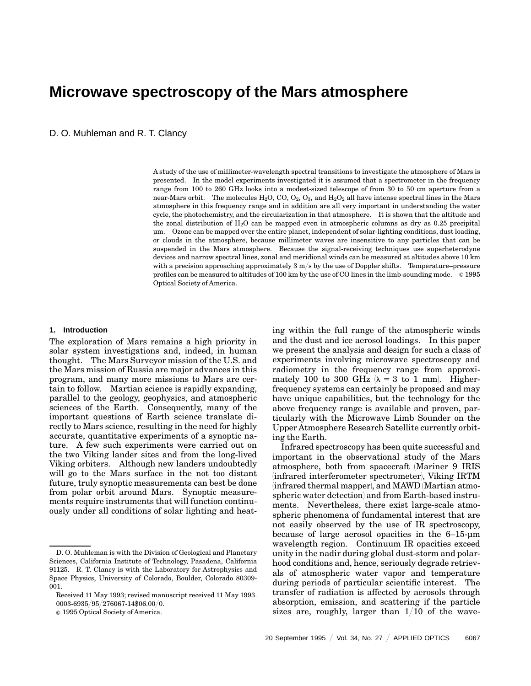# **Microwave spectroscopy of the Mars atmosphere**

D. O. Muhleman and R. T. Clancy

A study of the use of millimeter-wavelength spectral transitions to investigate the atmosphere of Mars is presented. In the model experiments investigated it is assumed that a spectrometer in the frequency range from 100 to 260 GHz looks into a modest-sized telescope of from 30 to 50 cm aperture from a near-Mars orbit. The molecules  $H_2O$ ,  $CO$ ,  $O_2$ ,  $O_3$ , and  $H_2O_2$  all have intense spectral lines in the Mars atmosphere in this frequency range and in addition are all very important in understanding the water cycle, the photochemistry, and the circularization in that atmosphere. It is shown that the altitude and the zonal distribution of  $H_2O$  can be mapped even in atmospheric columns as dry as 0.25 precipital µm. Ozone can be mapped over the entire planet, independent of solar-lighting conditions, dust loading, or clouds in the atmosphere, because millimeter waves are insensitive to any particles that can be suspended in the Mars atmosphere. Because the signal-receiving techniques use superheterodyne devices and narrow spectral lines, zonal and meridional winds can be measured at altitudes above 10 km with a precision approaching approximately 3 m/s by the use of Doppler shifts. Temperature–pressure profiles can be measured to altitudes of 100 km by the use of CO lines in the limb-sounding mode.  $\circ$  1995 Optical Society of America.

# **1. Introduction**

The exploration of Mars remains a high priority in solar system investigations and, indeed, in human thought. The Mars Surveyor mission of the U.S. and the Mars mission of Russia are major advances in this program, and many more missions to Mars are certain to follow. Martian science is rapidly expanding, parallel to the geology, geophysics, and atmospheric sciences of the Earth. Consequently, many of the important questions of Earth science translate directly to Mars science, resulting in the need for highly accurate, quantitative experiments of a synoptic nature. A few such experiments were carried out on the two Viking lander sites and from the long-lived Viking orbiters. Although new landers undoubtedly will go to the Mars surface in the not too distant future, truly synoptic measurements can best be done from polar orbit around Mars. Synoptic measurements require instruments that will function continuously under all conditions of solar lighting and heating within the full range of the atmospheric winds and the dust and ice aerosol loadings. In this paper we present the analysis and design for such a class of experiments involving microwave spectroscopy and radiometry in the frequency range from approximately 100 to 300 GHz  $(\lambda = 3$  to 1 mm. Higherfrequency systems can certainly be proposed and may have unique capabilities, but the technology for the above frequency range is available and proven, particularly with the Microwave Limb Sounder on the Upper Atmosphere Research Satellite currently orbiting the Earth.

Infrared spectroscopy has been quite successful and important in the observational study of the Mars atmosphere, both from spacecraft (Mariner 9 IRIS (infrared interferometer spectrometer), Viking IRTM  $(infrared thermal map per)$ , and MAWD  $(Martian atmo$ spheric water detection) and from Earth-based instruments. Nevertheless, there exist large-scale atmospheric phenomena of fundamental interest that are not easily observed by the use of IR spectroscopy, because of large aerosol opacities in the 6–15-µm wavelength region. Continuum IR opacities exceed unity in the nadir during global dust-storm and polarhood conditions and, hence, seriously degrade retrievals of atmospheric water vapor and temperature during periods of particular scientific interest. The transfer of radiation is affected by aerosols through absorption, emission, and scattering if the particle sizes are, roughly, larger than  $1/10$  of the wave-

D. O. Muhleman is with the Division of Geological and Planetary Sciences, California Institute of Technology, Pasadena, California 91125. R. T. Clancy is with the Laboratory for Astrophysics and Space Physics, University of Colorado, Boulder, Colorado 80309- 001.

Received 11 May 1993; revised manuscript received 11 May 1993. 0003-6935/95/276067-14\$06.00/0.

 $\circ$  1995 Optical Society of America.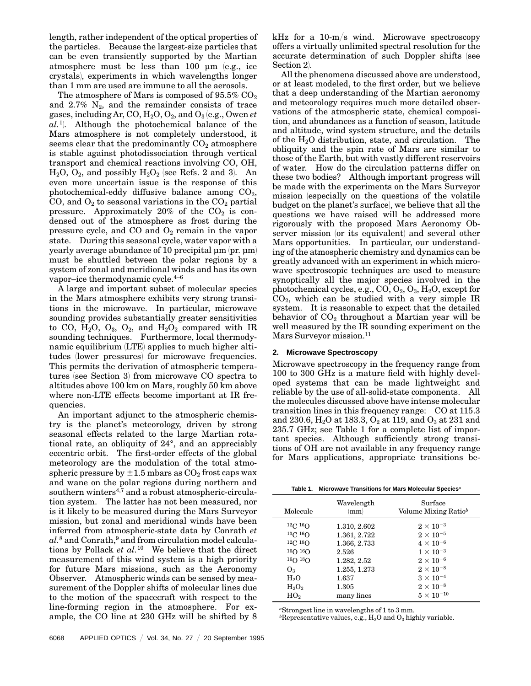length, rather independent of the optical properties of the particles. Because the largest-size particles that can be even transiently supported by the Martian atmosphere must be less than 100  $\mu$ m (e.g., ice crystals), experiments in which wavelengths longer than 1 mm are used are immune to all the aerosols.

The atmosphere of Mars is composed of  $95.5\%$  CO<sub>2</sub> and  $2.7\%$  N<sub>2</sub>, and the remainder consists of trace gases, including Ar, CO,  $H_2O$ ,  $O_2$ , and  $O_3$  (e.g., Owen *et al.*<sup>1</sup>). Although the photochemical balance of the Mars atmosphere is not completely understood, it seems clear that the predominantly  $CO<sub>2</sub>$  atmosphere is stable against photodissociation through vertical transport and chemical reactions involving CO, OH,  $H_2O$ ,  $O_2$ , and possibly  $H_2O_2$  (see Refs. 2 and 3). An even more uncertain issue is the response of this photochemical-eddy diffusive balance among  $CO<sub>2</sub>$ , CO, and  $O_2$  to seasonal variations in the  $CO_2$  partial pressure. Approximately 20% of the  $CO<sub>2</sub>$  is condensed out of the atmosphere as frost during the pressure cycle, and  $CO$  and  $O<sub>2</sub>$  remain in the vapor state. During this seasonal cycle, water vapor with a yearly average abundance of 10 precipital  $\mu$ m (pr.  $\mu$ m) must be shuttled between the polar regions by a system of zonal and meridional winds and has its own vapor–ice thermodynamic cycle.4–6

A large and important subset of molecular species in the Mars atmosphere exhibits very strong transitions in the microwave. In particular, microwave sounding provides substantially greater sensitivities to CO,  $H_2O$ ,  $O_3$ ,  $O_2$ , and  $H_2O_2$  compared with IR sounding techniques. Furthermore, local thermodynamic equilibrium (LTE) applies to much higher altitudes (lower pressures) for microwave frequencies. This permits the derivation of atmospheric temperatures (see Section 3) from microwave CO spectra to altitudes above 100 km on Mars, roughly 50 km above where non-LTE effects become important at IR frequencies.

An important adjunct to the atmospheric chemistry is the planet's meteorology, driven by strong seasonal effects related to the large Martian rotational rate, an obliquity of 24°, and an appreciably eccentric orbit. The first-order effects of the global meteorology are the modulation of the total atmospheric pressure by  $\pm 1.5$  mbars as  $CO_2$  frost caps wax and wane on the polar regions during northern and southern winters<sup>4,7</sup> and a robust atmospheric-circulation system. The latter has not been measured, nor is it likely to be measured during the Mars Surveyor mission, but zonal and meridional winds have been inferred from atmospheric-state data by Conrath *et* al.<sup>8</sup> and Conrath,<sup>9</sup> and from circulation model calculations by Pollack *et al.*<sup>10</sup> We believe that the direct measurement of this wind system is a high priority for future Mars missions, such as the Aeronomy Observer. Atmospheric winds can be sensed by measurement of the Doppler shifts of molecular lines due to the motion of the spacecraft with respect to the line-forming region in the atmosphere. For example, the CO line at 230 GHz will be shifted by 8

6068 APPLIED OPTICS / Vol. 34, No. 27 / 20 September 1995

kHz for a  $10-m/s$  wind. Microwave spectroscopy offers a virtually unlimited spectral resolution for the accurate determination of such Doppler shifts (see Section 2.

All the phenomena discussed above are understood, or at least modeled, to the first order, but we believe that a deep understanding of the Martian aeronomy and meteorology requires much more detailed observations of the atmospheric state, chemical composition, and abundances as a function of season, latitude and altitude, wind system structure, and the details of the  $H_2O$  distribution, state, and circulation. The obliquity and the spin rate of Mars are similar to those of the Earth, but with vastly different reservoirs of water. How do the circulation patterns differ on these two bodies? Although important progress will be made with the experiments on the Mars Surveyor mission 1especially on the questions of the volatile budget on the planet's surface), we believe that all the questions we have raised will be addressed more rigorously with the proposed Mars Aeronomy Observer mission (or its equivalent) and several other Mars opportunities. In particular, our understanding of the atmospheric chemistry and dynamics can be greatly advanced with an experiment in which microwave spectroscopic techniques are used to measure synoptically all the major species involved in the photochemical cycles, e.g.,  $CO$ ,  $O_2$ ,  $O_3$ ,  $H_2O$ , except for  $CO<sub>2</sub>$ , which can be studied with a very simple IR system. It is reasonable to expect that the detailed behavior of  $CO<sub>2</sub>$  throughout a Martian year will be well measured by the IR sounding experiment on the Mars Surveyor mission.<sup>11</sup>

## **2. Microwave Spectroscopy**

Microwave spectroscopy in the frequency range from 100 to 300 GHz is a mature field with highly developed systems that can be made lightweight and reliable by the use of all-solid-state components. All the molecules discussed above have intense molecular transition lines in this frequency range: CO at 115.3 and 230.6,  $H_2O$  at 183.3,  $O_2$  at 119, and  $O_3$  at 231 and 235.7 GHz; see Table 1 for a complete list of important species. Although sufficiently strong transitions of OH are not available in any frequency range for Mars applications, appropriate transitions be-

| Table 1. Microwave Transitions for Mars Molecular Species <sup>a</sup> |  |
|------------------------------------------------------------------------|--|
|------------------------------------------------------------------------|--|

| Molecule                | Wavelength<br>mm) | Surface<br>Volume Mixing Ratio <sup>b</sup> |
|-------------------------|-------------------|---------------------------------------------|
| ${}^{12}C$ , ${}^{16}O$ | 1.310, 2.602      | $2\times10^{-3}$                            |
| $13C$ , $16O$           | 1.361, 2.722      | $2\times10^{-5}$                            |
| ${}^{12}C$ , ${}^{18}O$ | 1.366, 2.733      | $4\times10^{-6}$                            |
| 16O16O                  | 2.526             | $1\times10^{-3}$                            |
| $16O$ $18O$             | 1.282, 2.52       | $2\times10^{-6}$                            |
| $O_3$                   | 1.255, 1.273      | $2 \times 10^{-8}$                          |
| H <sub>2</sub> O        | 1.637             | $3\times10^{-4}$                            |
| $H_2O_2$                | 1.305             | $2\times10^{-8}$                            |
| HO <sub>2</sub>         | many lines        | $5\times10^{-10}$                           |

*<sup>a</sup>*Strongest line in wavelengths of 1 to 3 mm.

*b*Representative values, e.g.,  $H_2O$  and  $O_3$  highly variable.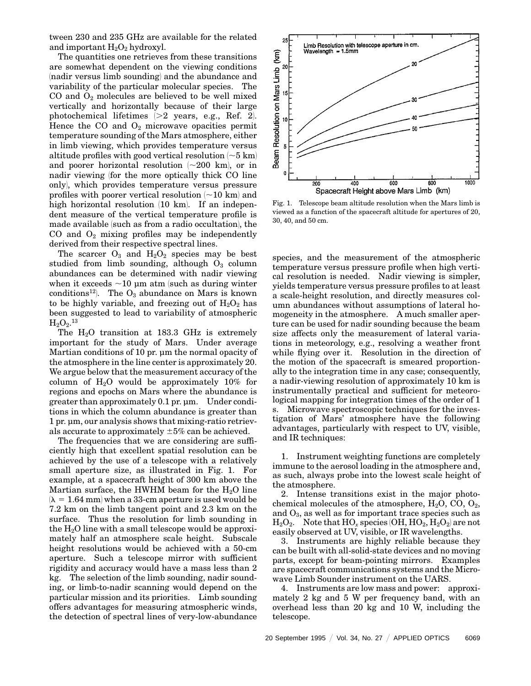tween 230 and 235 GHz are available for the related and important  $H_2O_2$  hydroxyl.

The quantities one retrieves from these transitions are somewhat dependent on the viewing conditions (nadir versus limb sounding) and the abundance and variability of the particular molecular species. The CO and  $O_2$  molecules are believed to be well mixed vertically and horizontally because of their large photochemical lifetimes  $|>2$  years, e.g., Ref. 2. Hence the CO and  $O_2$  microwave opacities permit temperature sounding of the Mars atmosphere, either in limb viewing, which provides temperature versus altitude profiles with good vertical resolution  $\sim$  5 km) and poorer horizontal resolution  $\sim 200$  km, or in nadir viewing (for the more optically thick CO line only), which provides temperature versus pressure profiles with poorer vertical resolution  $\sim 10$  km and high horizontal resolution  $(10 \text{ km})$ . If an independent measure of the vertical temperature profile is made available (such as from a radio occultation), the CO and  $O_2$  mixing profiles may be independently derived from their respective spectral lines.

The scarcer  $O_3$  and  $H_2O_2$  species may be best studied from limb sounding, although  $O<sub>3</sub>$  column abundances can be determined with nadir viewing when it exceeds  $\sim$ 10 µm atm (such as during winter conditions<sup>12</sup>). The  $O_3$  abundance on Mars is known to be highly variable, and freezing out of  $H_2O_2$  has been suggested to lead to variability of atmospheric  $\rm H_2O_2.^{13}$ 

The  $H_2O$  transition at 183.3 GHz is extremely important for the study of Mars. Under average Martian conditions of 10 pr. um the normal opacity of the atmosphere in the line center is approximately 20. We argue below that the measurement accuracy of the column of  $H_2O$  would be approximately 10% for regions and epochs on Mars where the abundance is greater than approximately 0.1 pr. µm. Under conditions in which the column abundance is greater than 1 pr. µm, our analysis shows that mixing-ratio retrievals accurate to approximately  $\pm 5\%$  can be achieved.

The frequencies that we are considering are sufficiently high that excellent spatial resolution can be achieved by the use of a telescope with a relatively small aperture size, as illustrated in Fig. 1. For example, at a spacecraft height of 300 km above the Martian surface, the HWHM beam for the  $H_2O$  line  $(\lambda = 1.64$  mm when a 33-cm aperture is used would be 7.2 km on the limb tangent point and 2.3 km on the surface. Thus the resolution for limb sounding in the  $H_2O$  line with a small telescope would be approximately half an atmosphere scale height. Subscale height resolutions would be achieved with a 50-cm aperture. Such a telescope mirror with sufficient rigidity and accuracy would have a mass less than 2 kg. The selection of the limb sounding, nadir sounding, or limb-to-nadir scanning would depend on the particular mission and its priorities. Limb sounding offers advantages for measuring atmospheric winds, the detection of spectral lines of very-low-abundance



Fig. 1. Telescope beam altitude resolution when the Mars limb is viewed as a function of the spacecraft altitude for apertures of 20, 30, 40, and 50 cm.

species, and the measurement of the atmospheric temperature versus pressure profile when high vertical resolution is needed. Nadir viewing is simpler, yields temperature versus pressure profiles to at least a scale-height resolution, and directly measures column abundances without assumptions of lateral homogeneity in the atmosphere. A much smaller aperture can be used for nadir sounding because the beam size affects only the measurement of lateral variations in meteorology, e.g., resolving a weather front while flying over it. Resolution in the direction of the motion of the spacecraft is smeared proportionally to the integration time in any case; consequently, a nadir-viewing resolution of approximately 10 km is instrumentally practical and sufficient for meteorological mapping for integration times of the order of 1 s. Microwave spectroscopic techniques for the investigation of Mars' atmosphere have the following advantages, particularly with respect to UV, visible, and IR techniques:

1. Instrument weighting functions are completely immune to the aerosol loading in the atmosphere and, as such, always probe into the lowest scale height of the atmosphere.

2. Intense transitions exist in the major photochemical molecules of the atmosphere,  $H_2O$ , CO,  $O_2$ , and  $O_3$ , as well as for important trace species such as  $H_2O_2$ . Note that  $HO_x$  species  $(OH, HO_2, H_2O_2)$  are not easily observed at UV, visible, or IR wavelengths.

3. Instruments are highly reliable because they can be built with all-solid-state devices and no moving parts, except for beam-pointing mirrors. Examples are spacecraft communications systems and the Microwave Limb Sounder instrument on the UARS.

4. Instruments are low mass and power: approximately 2 kg and 5 W per frequency band, with an overhead less than 20 kg and 10 W, including the telescope.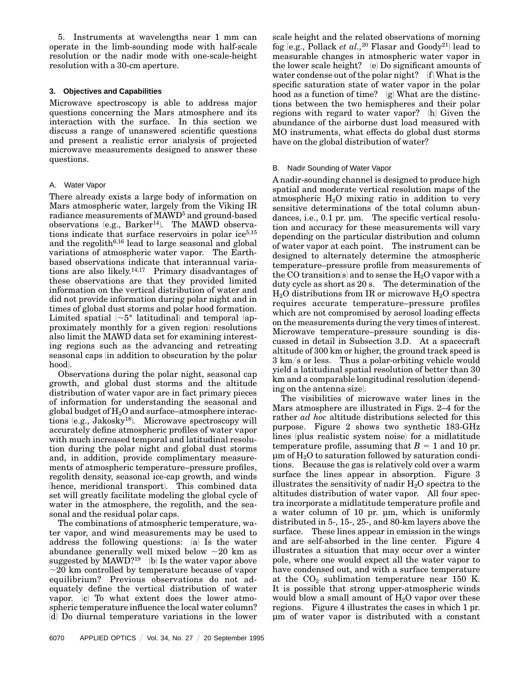5. Instruments at wavelengths near 1 mm can operate in the limb-sounding mode with half-scale resolution or the nadir mode with one-scale-height resolution with a 30-cm aperture.

# **3. Objectives and Capabilities**

Microwave spectroscopy is able to address major questions concerning the Mars atmosphere and its interaction with the surface. In this section we discuss a range of unanswered scientific questions and present a realistic error analysis of projected microwave measurements designed to answer these questions.

# A. Water Vapor

There already exists a large body of information on Mars atmospheric water, largely from the Viking IR radiance measurements of MAWD5 and ground-based observations (e.g., Barker<sup>14</sup>). The MAWD observations indicate that surface reservoirs in polar ice $5,15$ and the regolith6,16 lead to large seasonal and global variations of atmospheric water vapor. The Earthbased observations indicate that interannual variations are also likely. $14,17$  Primary disadvantages of these observations are that they provided limited information on the vertical distribution of water and did not provide information during polar night and in times of global dust storms and polar hood formation. Limited spatial  $\sim 5^{\circ}$  latitudinal) and temporal (approximately monthly for a given region) resolutions also limit the MAWD data set for examining interesting regions such as the advancing and retreating seasonal caps in addition to obscuration by the polar hood).

Observations during the polar night, seasonal cap growth, and global dust storms and the altitude distribution of water vapor are in fact primary pieces of information for understanding the seasonal and global budget of  $H_2O$  and surface–atmosphere interactions (e.g., Jakosky<sup>18</sup>). Microwave spectroscopy will accurately define atmospheric profiles of water vapor with much increased temporal and latitudinal resolution during the polar night and global dust storms and, in addition, provide complimentary measurements of atmospheric temperature–pressure profiles, regolith density, seasonal ice-cap growth, and winds (hence, meridional transport). This combined data set will greatly facilitate modeling the global cycle of water in the atmosphere, the regolith, and the seasonal and the residual polar caps.

The combinations of atmospheric temperature, water vapor, and wind measurements may be used to address the following questions:  $(a)$  Is the water abundance generally well mixed below  $\sim$  20 km as suggested by  $MAWD?19$  (b) Is the water vapor above  $\sim$ 20 km controlled by temperature because of vapor equilibrium? Previous observations do not adequately define the vertical distribution of water vapor.  $(c)$  To what extent does the lower atmospheric temperature influence the local water column? (d) Do diurnal temperature variations in the lower

6070 APPLIED OPTICS  $/$  Vol. 34, No. 27  $/$  20 September 1995

scale height and the related observations of morning fog (e.g., Pollack *et al.*,<sup>20</sup> Flasar and Goody<sup>21</sup>) lead to measurable changes in atmospheric water vapor in the lower scale height?  $(e)$  Do significant amounts of water condense out of the polar night?  $(f)$  What is the specific saturation state of water vapor in the polar hood as a function of time?  $(g)$  What are the distinctions between the two hemispheres and their polar regions with regard to water vapor?  $(h)$  Given the abundance of the airborne dust load measured with MO instruments, what effects do global dust storms have on the global distribution of water?

# B. Nadir Sounding of Water Vapor

A nadir-sounding channel is designed to produce high spatial and moderate vertical resolution maps of the atmospheric  $H_2O$  mixing ratio in addition to very sensitive determinations of the total column abundances, i.e., 0.1 pr. µm. The specific vertical resolution and accuracy for these measurements will vary depending on the particular distribution and column of water vapor at each point. The instrument can be designed to alternately determine the atmospheric temperature–pressure profile from measurements of the CO transition(s) and to sense the  $H_2O$  vapor with a duty cycle as short as 20 s. The determination of the  $H<sub>2</sub>O$  distributions from IR or microwave  $H<sub>2</sub>O$  spectra requires accurate temperature–pressure profiles which are not compromised by aerosol loading effects on the measurements during the very times of interest. Microwave temperature–pressure sounding is discussed in detail in Subsection 3.D. At a spacecraft altitude of 300 km or higher, the ground track speed is  $3 \text{ km/s}$  or less. Thus a polar-orbiting vehicle would yield a latitudinal spatial resolution of better than 30 km and a comparable longitudinal resolution (depending on the antenna size.

The visibilities of microwave water lines in the Mars atmosphere are illustrated in Figs. 2–4 for the rather *ad hoc* altitude distributions selected for this purpose. Figure 2 shows two synthetic 183-GHz lines (plus realistic system noise) for a midlatitude temperature profile, assuming that  $B = 1$  and 10 pr.  $\mu$ m of  $\text{H}_2\text{O}$  to saturation followed by saturation conditions. Because the gas is relatively cold over a warm surface the lines appear in absorption. Figure 3 illustrates the sensitivity of nadir  $H_2O$  spectra to the altitudes distribution of water vapor. All four spectra incorporate a midlatitude temperature profile and a water column of 10 pr. µm, which is uniformly distributed in 5-, 15-, 25-, and 80-km layers above the surface. These lines appear in emission in the wings and are self-absorbed in the line center. Figure 4 illustrates a situation that may occur over a winter pole, where one would expect all the water vapor to have condensed out, and with a surface temperature at the  $CO<sub>2</sub>$  sublimation temperature near 150 K. It is possible that strong upper-atmospheric winds would blow a small amount of  $H_2O$  vapor over these regions. Figure 4 illustrates the cases in which 1 pr. µm of water vapor is distributed with a constant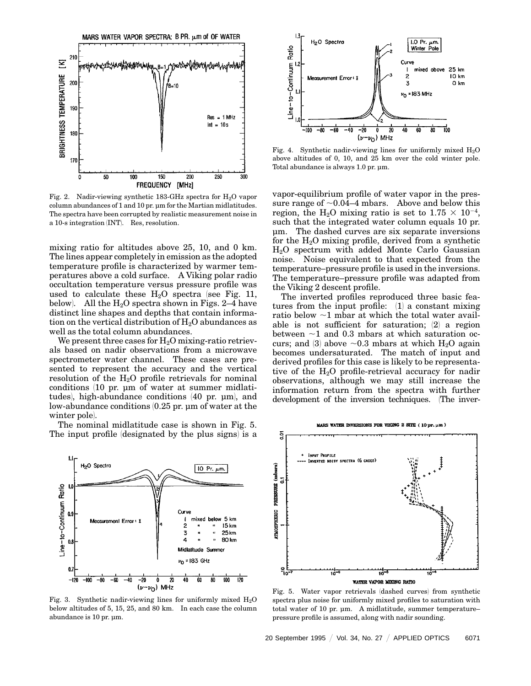

Fig. 2. Nadir-viewing synthetic 183-GHz spectra for  $H_2O$  vapor column abundances of 1 and 10 pr. µm for the Martian midlatitudes. The spectra have been corrupted by realistic measurement noise in a 10-s integration (INT). Res, resolution.

mixing ratio for altitudes above 25, 10, and 0 km. The lines appear completely in emission as the adopted temperature profile is characterized by warmer temperatures above a cold surface. A Viking polar radio occultation temperature versus pressure profile was used to calculate these  $H_2O$  spectra (see Fig. 11, below). All the  $H_2O$  spectra shown in Figs. 2–4 have distinct line shapes and depths that contain information on the vertical distribution of  $H_2O$  abundances as well as the total column abundances.

We present three cases for  $H_2O$  mixing-ratio retrievals based on nadir observations from a microwave spectrometer water channel. These cases are presented to represent the accuracy and the vertical resolution of the  $H_2O$  profile retrievals for nominal conditions 110 pr. µm of water at summer midlatitudes), high-abundance conditions (40 pr. µm), and low-abundance conditions 10.25 pr. µm of water at the winter pole).

The nominal midlatitude case is shown in Fig. 5. The input profile (designated by the plus signs) is a



Fig. 3. Synthetic nadir-viewing lines for uniformly mixed  $H_2O$ below altitudes of 5, 15, 25, and 80 km. In each case the column abundance is 10 pr. µm.



Fig. 4. Synthetic nadir-viewing lines for uniformly mixed  $H_2O$ above altitudes of 0, 10, and 25 km over the cold winter pole. Total abundance is always 1.0 pr. µm.

vapor-equilibrium profile of water vapor in the pressure range of  $\sim 0.04-4$  mbars. Above and below this region, the H<sub>2</sub>O mixing ratio is set to  $1.75 \times 10^{-4}$ , such that the integrated water column equals 10 pr. µm. The dashed curves are six separate inversions for the  $H_2O$  mixing profile, derived from a synthetic H2O spectrum with added Monte Carlo Gaussian noise. Noise equivalent to that expected from the temperature–pressure profile is used in the inversions. The temperature–pressure profile was adapted from the Viking 2 descent profile.

The inverted profiles reproduced three basic features from the input profile:  $(1)$  a constant mixing ratio below  $\sim$ 1 mbar at which the total water available is not sufficient for saturation;  $(2)$  a region between  $\sim$ 1 and 0.3 mbars at which saturation occurs; and (3) above  $\sim 0.3$  mbars at which H<sub>2</sub>O again becomes undersaturated. The match of input and derived profiles for this case is likely to be representative of the H2O profile-retrieval accuracy for nadir observations, although we may still increase the information return from the spectra with further development of the inversion techniques. (The inver-



Fig. 5. Water vapor retrievals (dashed curves) from synthetic spectra plus noise for uniformly mixed profiles to saturation with total water of 10 pr. µm. A midlatitude, summer temperature– pressure profile is assumed, along with nadir sounding.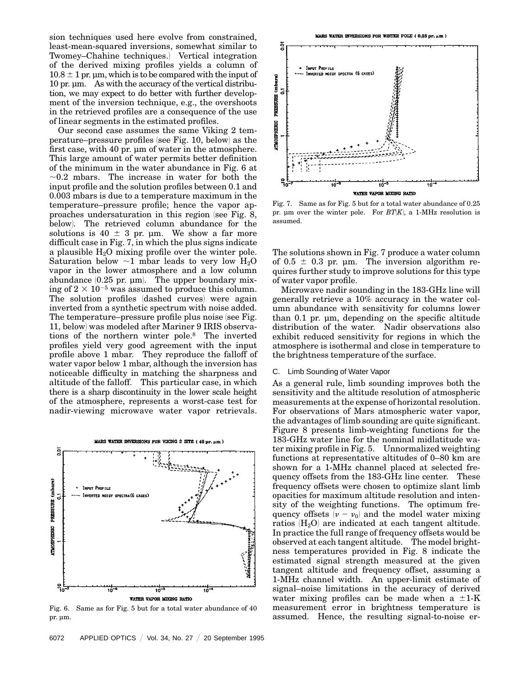sion techniques used here evolve from constrained, least-mean-squared inversions, somewhat similar to Twomey–Chahine techniques.) Vertical integration of the derived mixing profiles yields a column of  $10.8 \pm 1$  pr. µm, which is to be compared with the input of 10 pr. µm. As with the accuracy of the vertical distribution, we may expect to do better with further development of the inversion technique, e.g., the overshoots in the retrieved profiles are a consequence of the use of linear segments in the estimated profiles.

Our second case assumes the same Viking 2 temperature–pressure profiles (see Fig. 10, below) as the first case, with 40 pr. µm of water in the atmosphere. This large amount of water permits better definition of the minimum in the water abundance in Fig. 6 at  $\sim$ 0.2 mbars. The increase in water for both the input profile and the solution profiles between 0.1 and 0.003 mbars is due to a temperature maximum in the temperature–pressure profile; hence the vapor approaches undersaturation in this region (see Fig.  $8$ , below). The retrieved column abundance for the solutions is  $40 \pm 3$  pr.  $\mu$ m. We show a far more difficult case in Fig. 7, in which the plus signs indicate a plausible  $H_2O$  mixing profile over the winter pole. Saturation below  $\sim$ 1 mbar leads to very low H<sub>2</sub>O vapor in the lower atmosphere and a low column abundance  $(0.25 \text{ pr. }\mu\text{m})$ . The upper boundary mixing of  $2 \times 10^{-5}$  was assumed to produce this column. The solution profiles (dashed curves) were again inverted from a synthetic spectrum with noise added. The temperature–pressure profile plus noise (see Fig. 11, below) was modeled after Mariner 9 IRIS observations of the northern winter pole.8 The inverted profiles yield very good agreement with the input profile above 1 mbar. They reproduce the falloff of water vapor below 1 mbar, although the inversion has noticeable difficulty in matching the sharpness and altitude of the falloff. This particular case, in which there is a sharp discontinuity in the lower scale height of the atmosphere, represents a worst-case test for nadir-viewing microwave water vapor retrievals.



Fig. 6. Same as for Fig. 5 but for a total water abundance of 40 pr. µm.



Fig. 7. Same as for Fig. 5 but for a total water abundance of 0.25 pr. µm over the winter pole. For  $BT(K)$ , a 1-MHz resolution is assumed.

The solutions shown in Fig. 7 produce a water column of  $0.5 \pm 0.3$  pr. µm. The inversion algorithm requires further study to improve solutions for this type of water vapor profile.

Microwave nadir sounding in the 183-GHz line will generally retrieve a 10% accuracy in the water column abundance with sensitivity for columns lower than 0.1 pr. µm, depending on the specific altitude distribution of the water. Nadir observations also exhibit reduced sensitivity for regions in which the atmosphere is isothermal and close in temperature to the brightness temperature of the surface.

# C. Limb Sounding of Water Vapor

As a general rule, limb sounding improves both the sensitivity and the altitude resolution of atmospheric measurements at the expense of horizontal resolution. For observations of Mars atmospheric water vapor, the advantages of limb sounding are quite significant. Figure 8 presents limb-weighting functions for the 183-GHz water line for the nominal midlatitude water mixing profile in Fig. 5. Unnormalized weighting functions at representative altitudes of 0–80 km are shown for a 1-MHz channel placed at selected frequency offsets from the 183-GHz line center. These frequency offsets were chosen to optimize slant limb opacities for maximum altitude resolution and intensity of the weighting functions. The optimum frequency offsets  $(\nu - \nu_0)$  and the model water mixing ratios  $(H_2O)$  are indicated at each tangent altitude. In practice the full range of frequency offsets would be observed at each tangent altitude. The model brightness temperatures provided in Fig. 8 indicate the estimated signal strength measured at the given tangent altitude and frequency offset, assuming a 1-MHz channel width. An upper-limit estimate of signal–noise limitations in the accuracy of derived water mixing profiles can be made when a  $\pm 1$ -K measurement error in brightness temperature is assumed. Hence, the resulting signal-to-noise er-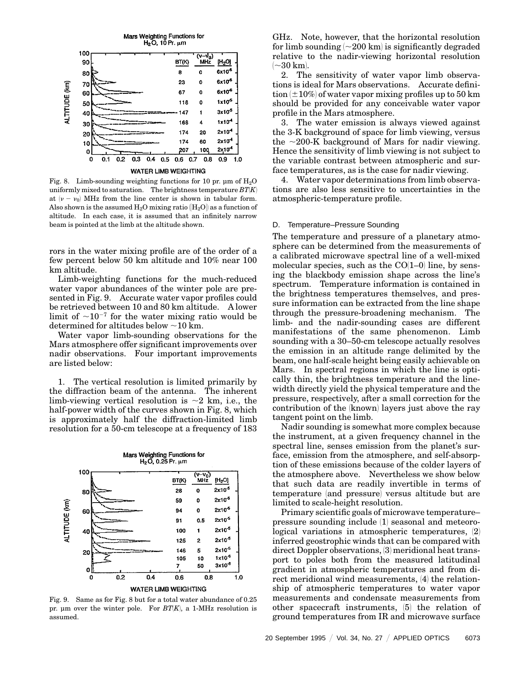

Fig. 8. Limb-sounding weighting functions for 10 pr.  $\mu$ m of H<sub>2</sub>O uniformly mixed to saturation. The brightness temperature  $BT|K|$ at  $(\nu - \nu_0)$  MHz from the line center is shown in tabular form. Also shown is the assumed  $H_2O$  mixing ratio  $\langle H_2O \rangle$  as a function of altitude. In each case, it is assumed that an infinitely narrow beam is pointed at the limb at the altitude shown.

rors in the water mixing profile are of the order of a few percent below 50 km altitude and 10% near 100 km altitude.

Limb-weighting functions for the much-reduced water vapor abundances of the winter pole are presented in Fig. 9. Accurate water vapor profiles could be retrieved between 10 and 80 km altitude. A lower limit of  $\sim 10^{-7}$  for the water mixing ratio would be determined for altitudes below  $\sim$  10 km.

Water vapor limb-sounding observations for the Mars atmosphere offer significant improvements over nadir observations. Four important improvements are listed below:

1. The vertical resolution is limited primarily by the diffraction beam of the antenna. The inherent limb-viewing vertical resolution is  $\sim$ 2 km, i.e., the half-power width of the curves shown in Fig. 8, which is approximately half the diffraction-limited limb resolution for a 50-cm telescope at a frequency of 183



Fig. 9. Same as for Fig. 8 but for a total water abundance of 0.25 pr. µm over the winter pole. For  $BT|K|$ , a 1-MHz resolution is assumed.

GHz. Note, however, that the horizontal resolution for limb sounding  $\sim 200$  km is significantly degraded relative to the nadir-viewing horizontal resolution  $\sim$ 30 km).

2. The sensitivity of water vapor limb observations is ideal for Mars observations. Accurate definition  $(\pm 10\%)$  of water vapor mixing profiles up to 50 km should be provided for any conceivable water vapor profile in the Mars atmosphere.

3. The water emission is always viewed against the 3-K background of space for limb viewing, versus the  $\sim$ 200-K background of Mars for nadir viewing. Hence the sensitivity of limb viewing is not subject to the variable contrast between atmospheric and surface temperatures, as is the case for nadir viewing.

4. Water vapor determinations from limb observations are also less sensitive to uncertainties in the atmospheric-temperature profile.

#### D. Temperature–Pressure Sounding

The temperature and pressure of a planetary atmosphere can be determined from the measurements of a calibrated microwave spectral line of a well-mixed molecular species, such as the  $CO(1-0)$  line, by sensing the blackbody emission shape across the line's spectrum. Temperature information is contained in the brightness temperatures themselves, and pressure information can be extracted from the line shape through the pressure-broadening mechanism. The limb- and the nadir-sounding cases are different manifestations of the same phenomenon. Limb sounding with a 30–50-cm telescope actually resolves the emission in an altitude range delimited by the beam, one half-scale height being easily achievable on Mars. In spectral regions in which the line is optically thin, the brightness temperature and the linewidth directly yield the physical temperature and the pressure, respectively, after a small correction for the contribution of the (known) layers just above the ray tangent point on the limb.

Nadir sounding is somewhat more complex because the instrument, at a given frequency channel in the spectral line, senses emission from the planet's surface, emission from the atmosphere, and self-absorption of these emissions because of the colder layers of the atmosphere above. Nevertheless we show below that such data are readily invertible in terms of temperature (and pressure) versus altitude but are limited to scale-height resolution.

Primary scientific goals of microwave temperature– pressure sounding include  $(1)$  seasonal and meteorological variations in atmospheric temperatures,  $(2)$ inferred geostrophic winds that can be compared with direct Doppler observations, (3) meridional heat transport to poles both from the measured latitudinal gradient in atmospheric temperatures and from direct meridional wind measurements,  $(4)$  the relationship of atmospheric temperatures to water vapor measurements and condensate measurements from other spacecraft instruments,  $(5)$  the relation of ground temperatures from IR and microwave surface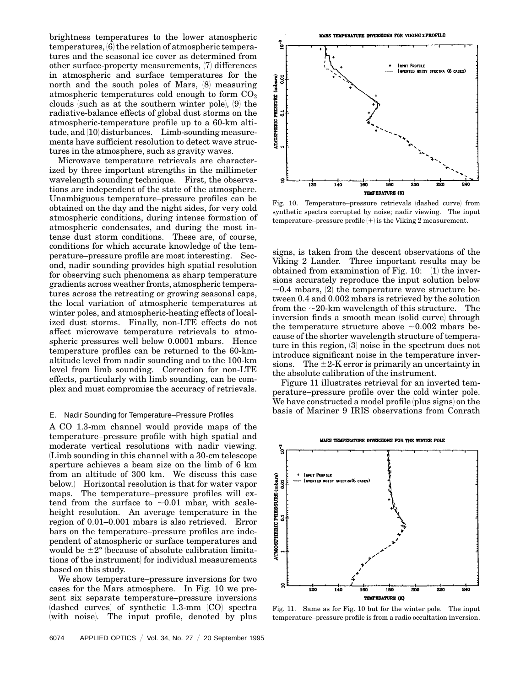brightness temperatures to the lower atmospheric  $temperatures, 6$  the relation of atmospheric temperatures and the seasonal ice cover as determined from other surface-property measurements,  $(7)$  differences in atmospheric and surface temperatures for the north and the south poles of Mars,  $(8)$  measuring atmospheric temperatures cold enough to form  $CO<sub>2</sub>$ clouds (such as at the southern winter pole),  $(9)$  the radiative-balance effects of global dust storms on the atmospheric-temperature profile up to a 60-km alti $tude, and (10)$  disturbances. Limb-sounding measurements have sufficient resolution to detect wave structures in the atmosphere, such as gravity waves.

Microwave temperature retrievals are characterized by three important strengths in the millimeter wavelength sounding technique. First, the observations are independent of the state of the atmosphere. Unambiguous temperature–pressure profiles can be obtained on the day and the night sides, for very cold atmospheric conditions, during intense formation of atmospheric condensates, and during the most intense dust storm conditions. These are, of course, conditions for which accurate knowledge of the temperature–pressure profile are most interesting. Second, nadir sounding provides high spatial resolution for observing such phenomena as sharp temperature gradients across weather fronts, atmospheric temperatures across the retreating or growing seasonal caps, the local variation of atmospheric temperatures at winter poles, and atmospheric-heating effects of localized dust storms. Finally, non-LTE effects do not affect microwave temperature retrievals to atmospheric pressures well below 0.0001 mbars. Hence temperature profiles can be returned to the 60-kmaltitude level from nadir sounding and to the 100-km level from limb sounding. Correction for non-LTE effects, particularly with limb sounding, can be complex and must compromise the accuracy of retrievals.

## E. Nadir Sounding for Temperature–Pressure Profiles

A CO 1.3-mm channel would provide maps of the temperature–pressure profile with high spatial and moderate vertical resolutions with nadir viewing. 1Limb sounding in this channel with a 30-cm telescope aperture achieves a beam size on the limb of 6 km from an altitude of 300 km. We discuss this case below.) Horizontal resolution is that for water vapor maps. The temperature–pressure profiles will extend from the surface to  $\sim 0.01$  mbar, with scaleheight resolution. An average temperature in the region of 0.01–0.001 mbars is also retrieved. Error bars on the temperature–pressure profiles are independent of atmospheric or surface temperatures and would be  $\pm 2^{\circ}$  (because of absolute calibration limitations of the instrument for individual measurements based on this study.

We show temperature–pressure inversions for two cases for the Mars atmosphere. In Fig. 10 we present six separate temperature–pressure inversions  $(dashed curves)$  of synthetic 1.3-mm  $(CO)$  spectra with noise. The input profile, denoted by plus

6074 APPLIED OPTICS / Vol. 34, No. 27 / 20 September 1995

MARS TEMPERATURE INVERSIONS FOR VIKING 2 PROFILE



Fig. 10. Temperature–pressure retrievals (dashed curve) from synthetic spectra corrupted by noise; nadir viewing. The input temperature–pressure profile  $\left( +\right)$  is the Viking 2 measurement.

signs, is taken from the descent observations of the Viking 2 Lander. Three important results may be obtained from examination of Fig.  $10:$  (1) the inversions accurately reproduce the input solution below  $\sim$ 0.4 mbars, (2) the temperature wave structure between 0.4 and 0.002 mbars is retrieved by the solution from the  $\sim$ 20-km wavelength of this structure. The inversion finds a smooth mean (solid curve) through the temperature structure above  $\sim 0.002$  mbars because of the shorter wavelength structure of temperature in this region,  $(3)$  noise in the spectrum does not introduce significant noise in the temperature inversions. The  $\pm 2$ -K error is primarily an uncertainty in the absolute calibration of the instrument.

Figure 11 illustrates retrieval for an inverted temperature–pressure profile over the cold winter pole. We have constructed a model profile (plus signs) on the basis of Mariner 9 IRIS observations from Conrath



Fig. 11. Same as for Fig. 10 but for the winter pole. The input temperature–pressure profile is from a radio occultation inversion.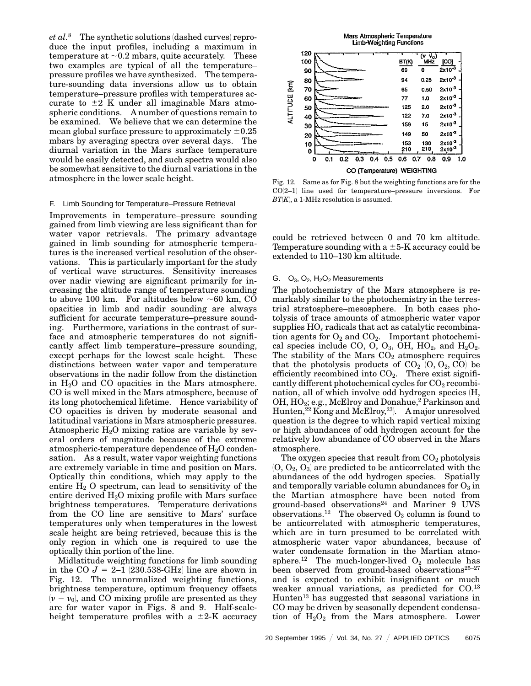$et\ al.^8$  The synthetic solutions (dashed curves) reproduce the input profiles, including a maximum in temperature at  $\sim 0.2$  mbars, quite accurately. These two examples are typical of all the temperature– pressure profiles we have synthesized. The temperature-sounding data inversions allow us to obtain temperature–pressure profiles with temperatures accurate to  $\pm 2$  K under all imaginable Mars atmospheric conditions. A number of questions remain to be examined. We believe that we can determine the mean global surface pressure to approximately  $\pm 0.25$ mbars by averaging spectra over several days. The diurnal variation in the Mars surface temperature would be easily detected, and such spectra would also be somewhat sensitive to the diurnal variations in the atmosphere in the lower scale height.

#### F. Limb Sounding for Temperature–Pressure Retrieval

Improvements in temperature–pressure sounding gained from limb viewing are less significant than for water vapor retrievals. The primary advantage gained in limb sounding for atmospheric temperatures is the increased vertical resolution of the observations. This is particularly important for the study of vertical wave structures. Sensitivity increases over nadir viewing are significant primarily for increasing the altitude range of temperature sounding to above 100 km. For altitudes below  $\sim 60$  km, CO opacities in limb and nadir sounding are always sufficient for accurate temperature–pressure sounding. Furthermore, variations in the contrast of surface and atmospheric temperatures do not significantly affect limb temperature–pressure sounding, except perhaps for the lowest scale height. These distinctions between water vapor and temperature observations in the nadir follow from the distinction in  $H_2O$  and CO opacities in the Mars atmosphere. CO is well mixed in the Mars atmosphere, because of its long photochemical lifetime. Hence variability of CO opacities is driven by moderate seasonal and latitudinal variations in Mars atmospheric pressures. Atmospheric  $H_2O$  mixing ratios are variable by several orders of magnitude because of the extreme atmospheric-temperature dependence of  $H_2O$  condensation. As a result, water vapor weighting functions are extremely variable in time and position on Mars. Optically thin conditions, which may apply to the entire  $H_2$  O spectrum, can lead to sensitivity of the entire derived  $H_2O$  mixing profile with Mars surface brightness temperatures. Temperature derivations from the CO line are sensitive to Mars' surface temperatures only when temperatures in the lowest scale height are being retrieved, because this is the only region in which one is required to use the optically thin portion of the line.

Midlatitude weighting functions for limb sounding in the CO  $J = 2-1$  (230.538-GHz) line are shown in Fig. 12. The unnormalized weighting functions, brightness temperature, optimum frequency offsets  $(v - v_0)$ , and CO mixing profile are presented as they are for water vapor in Figs. 8 and 9. Half-scaleheight temperature profiles with a  $\pm 2$ -K accuracy



Fig. 12. Same as for Fig. 8 but the weighting functions are for the  $CO(2-1)$  line used for temperature–pressure inversions. For  $BT(K)$ , a 1-MHz resolution is assumed.

could be retrieved between 0 and 70 km altitude. Temperature sounding with a  $\pm$ 5-K accuracy could be extended to 110–130 km altitude.

#### G.  $O_3$ ,  $O_2$ ,  $H_2O_2$  Measurements

The photochemistry of the Mars atmosphere is remarkably similar to the photochemistry in the terrestrial stratosphere–mesosphere. In both cases photolysis of trace amounts of atmospheric water vapor supplies HO*<sup>x</sup>* radicals that act as catalytic recombination agents for  $O_2$  and  $CO_2$ . Important photochemical species include CO, O, O<sub>3</sub>, OH, HO<sub>2</sub>, and H<sub>2</sub>O<sub>2</sub>. The stability of the Mars  $CO<sub>2</sub>$  atmosphere requires that the photolysis products of  $CO<sub>2</sub>$   $(O, O<sub>2</sub>, CO)$  be efficiently recombined into  $CO<sub>2</sub>$ . There exist significantly different photochemical cycles for  $CO<sub>2</sub>$  recombination, all of which involve odd hydrogen species  $(H,$ OH, HO<sub>2</sub>; e.g., McElroy and Donahue,<sup>2</sup> Parkinson and Hunten,<sup>22</sup> Kong and McElroy,<sup>23</sup>. A major unresolved question is the degree to which rapid vertical mixing or high abundances of odd hydrogen account for the relatively low abundance of CO observed in the Mars atmosphere.

The oxygen species that result from  $CO<sub>2</sub>$  photolysis  $(0, 0<sub>2</sub>, 0<sub>3</sub>)$  are predicted to be anticorrelated with the abundances of the odd hydrogen species. Spatially and temporally variable column abundances for  $O_3$  in the Martian atmosphere have been noted from ground-based observations24 and Mariner 9 UVS observations.<sup>12</sup> The observed  $O_3$  column is found to be anticorrelated with atmospheric temperatures, which are in turn presumed to be correlated with atmospheric water vapor abundances, because of water condensate formation in the Martian atmosphere.<sup>12</sup> The much-longer-lived  $O_2$  molecule has been observed from ground-based observations $25-27$ and is expected to exhibit insignificant or much weaker annual variations, as predicted for CO.13 Hunten<sup>13</sup> has suggested that seasonal variations in CO may be driven by seasonally dependent condensation of  $H_2O_2$  from the Mars atmosphere. Lower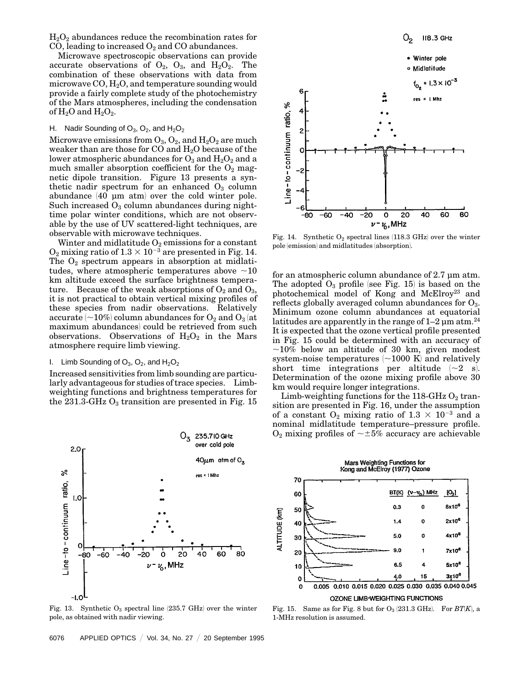$H_2O_2$  abundances reduce the recombination rates for CO, leading to increased  $O_2$  and CO abundances.

Microwave spectroscopic observations can provide accurate observations of  $O_2$ ,  $O_3$ , and  $H_2O_2$ . The combination of these observations with data from microwave  $CO, H<sub>2</sub>O,$  and temperature sounding would provide a fairly complete study of the photochemistry of the Mars atmospheres, including the condensation of  $H_2O$  and  $H_2O_2$ .

# H. Nadir Sounding of  $O_3$ ,  $O_2$ , and  $H_2O_2$

Microwave emissions from  $O_3$ ,  $O_2$ , and  $H_2O_2$  are much weaker than are those for  $CO$  and  $H_2O$  because of the lower atmospheric abundances for  $O_3$  and  $H_2O_2$  and a much smaller absorption coefficient for the  $O_2$  magnetic dipole transition. Figure 13 presents a synthetic nadir spectrum for an enhanced  $O_3$  column abundance (40 µm atm) over the cold winter pole. Such increased  $O_3$  column abundances during nighttime polar winter conditions, which are not observable by the use of UV scattered-light techniques, are observable with microwave techniques.

Winter and midlatitude  $O_2$  emissions for a constant  $O_2$  mixing ratio of  $1.3 \times 10^{-3}$  are presented in Fig. 14. The  $O_2$  spectrum appears in absorption at midlatitudes, where atmospheric temperatures above  $\sim$ 10 km altitude exceed the surface brightness temperature. Because of the weak absorptions of  $O_2$  and  $O_3$ , it is not practical to obtain vertical mixing profiles of these species from nadir observations. Relatively accurate  $\sim$  10%) column abundances for  $O_2$  and  $O_3$  (at maximum abundances) could be retrieved from such observations. Observations of  $H_2O_2$  in the Mars atmosphere require limb viewing.

# I. Limb Sounding of  $O_3$ ,  $O_2$ , and  $H_2O_2$

Increased sensitivities from limb sounding are particularly advantageous for studies of trace species. Limbweighting functions and brightness temperatures for the 231.3-GHz  $O_3$  transition are presented in Fig. 15



Fig. 13. Synthetic  $O_3$  spectral line (235.7 GHz) over the winter pole, as obtained with nadir viewing.



Fig. 14. Synthetic  $O_2$  spectral lines (118.3 GHz) over the winter pole (emission) and midlatitudes (absorption).

for an atmospheric column abundance of 2.7 µm atm. The adopted  $O_3$  profile (see Fig. 15) is based on the photochemical model of Kong and McElroy<sup>23</sup> and reflects globally averaged column abundances for  $O_3$ . Minimum ozone column abundances at equatorial latitudes are apparently in the range of  $1-2 \mu m$  atm.<sup>24</sup> It is expected that the ozone vertical profile presented in Fig. 15 could be determined with an accuracy of  $\sim$ 10% below an altitude of 30 km, given modest system-noise temperatures  $\sim$  1000 K and relatively short time integrations per altitude  $(-2 \text{ s}).$ Determination of the ozone mixing profile above 30 km would require longer integrations.

Limb-weighting functions for the 118-GHz  $O_2$  transition are presented in Fig. 16, under the assumption of a constant  $O_2$  mixing ratio of  $1.3 \times 10^{-3}$  and a nominal midlatitude temperature–pressure profile.  $O_2$  mixing profiles of  $\sim \pm 5\%$  accuracy are achievable



Fig. 15. Same as for Fig. 8 but for  $O_3$  (231.3 GHz). For  $BT(K)$ , a 1-MHz resolution is assumed.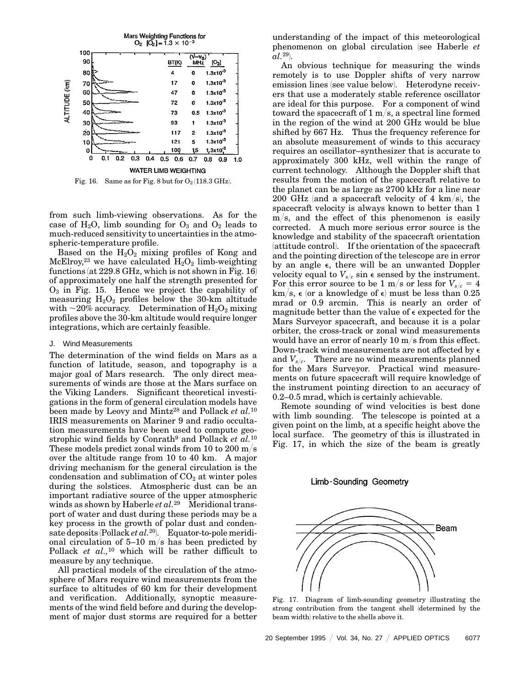

Fig. 16. Same as for Fig. 8 but for  $O_2(118.3 \text{ GHz})$ .

from such limb-viewing observations. As for the case of  $H_2O$ , limb sounding for  $O_3$  and  $O_2$  leads to much-reduced sensitivity to uncertainties in the atmospheric-temperature profile.

Based on the  $H_2O_2$  mixing profiles of Kong and McElroy,<sup>23</sup> we have calculated  $H_2O_2$  limb-weighting functions (at  $229.8$  GHz, which is not shown in Fig. 16) of approximately one half the strength presented for  $O<sub>3</sub>$  in Fig. 15. Hence we project the capability of measuring  $H_2O_2$  profiles below the 30-km altitude with  $\sim$ 20% accuracy. Determination of H<sub>2</sub>O<sub>2</sub> mixing profiles above the 30-km altitude would require longer integrations, which are certainly feasible.

#### J. Wind Measurements

The determination of the wind fields on Mars as a function of latitude, season, and topography is a major goal of Mars research. The only direct measurements of winds are those at the Mars surface on the Viking Landers. Significant theoretical investigations in the form of general circulation models have been made by Leovy and Mintz<sup>28</sup> and Pollack et al.<sup>10</sup> IRIS measurements on Mariner 9 and radio occultation measurements have been used to compute geostrophic wind fields by Conrath<sup>9</sup> and Pollack *et al.*<sup>10</sup> These models predict zonal winds from 10 to 200 m/s over the altitude range from 10 to 40 km. A major driving mechanism for the general circulation is the condensation and sublimation of  $CO<sub>2</sub>$  at winter poles during the solstices. Atmospheric dust can be an important radiative source of the upper atmospheric winds as shown by Haberle *et al.*<sup>29</sup> Meridional transport of water and dust during these periods may be a key process in the growth of polar dust and condensate deposits (Pollack *et al.*<sup>20</sup>). Equator-to-pole meridional circulation of  $5-10$  m/s has been predicted by Pollack *et al.,*<sup>10</sup> which will be rather difficult to measure by any technique.

All practical models of the circulation of the atmosphere of Mars require wind measurements from the surface to altitudes of 60 km for their development and verification. Additionally, synoptic measurements of the wind field before and during the development of major dust storms are required for a better

understanding of the impact of this meteorological phenomenon on global circulation 1see Haberle *et*  $al.^{29}$ .

An obvious technique for measuring the winds remotely is to use Doppler shifts of very narrow emission lines (see value below). Heterodyne receivers that use a moderately stable reference oscillator are ideal for this purpose. For a component of wind toward the spacecraft of  $1 \text{ m/s}$ , a spectral line formed in the region of the wind at 200 GHz would be blue shifted by 667 Hz. Thus the frequency reference for an absolute measurement of winds to this accuracy requires an oscillator–synthesizer that is accurate to approximately 300 kHz, well within the range of current technology. Although the Doppler shift that results from the motion of the spacecraft relative to the planet can be as large as 2700 kHz for a line near 200 GHz (and a spacecraft velocity of 4 km/s), the spacecraft velocity is always known to better than 1  $m/s$ , and the effect of this phenomenon is easily corrected. A much more serious error source is the knowledge and stability of the spacecraft orientation (attitude control). If the orientation of the spacecraft and the pointing direction of the telescope are in error by an angle  $\epsilon$ , there will be an unwanted Doppler velocity equal to  $V_{s/c}$  sin  $\epsilon$  sensed by the instrument. For this error source to be 1 m/s or less for  $V_{s/c} = 4$ km/s,  $\epsilon$  (or a knowledge of  $\epsilon$ ) must be less than 0.25 mrad or 0.9 arcmin. This is nearly an order of magnitude better than the value of  $\epsilon$  expected for the Mars Surveyor spacecraft, and because it is a polar orbiter, the cross-track or zonal wind measurements would have an error of nearly 10  $m/s$  from this effect. Down-track wind measurements are not affected by e and  $V_{s/c}$ . There are no wind measurements planned for the Mars Surveyor. Practical wind measurements on future spacecraft will require knowledge of the instrument pointing direction to an accuracy of 0.2–0.5 mrad, which is certainly achievable.

Remote sounding of wind velocities is best done with limb sounding. The telescope is pointed at a given point on the limb, at a specific height above the local surface. The geometry of this is illustrated in Fig. 17, in which the size of the beam is greatly

#### Limb-Sounding Geometry



Fig. 17. Diagram of limb-sounding geometry illustrating the strong contribution from the tangent shell (determined by the beam width) relative to the shells above it.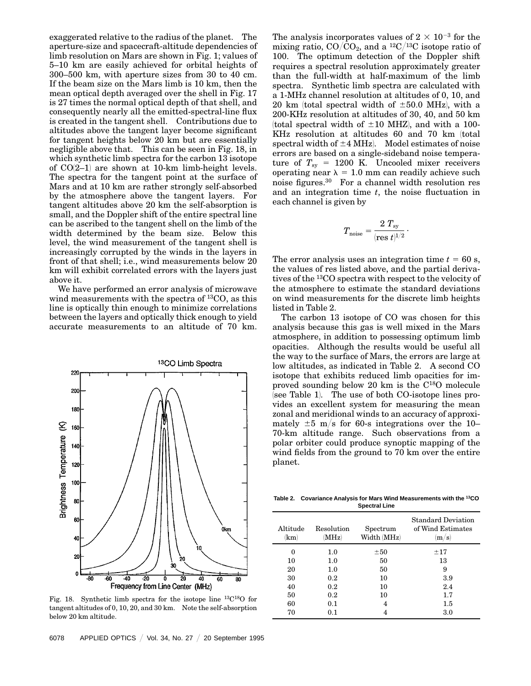exaggerated relative to the radius of the planet. The aperture-size and spacecraft-altitude dependencies of limb resolution on Mars are shown in Fig. 1; values of 5–10 km are easily achieved for orbital heights of 300–500 km, with aperture sizes from 30 to 40 cm. If the beam size on the Mars limb is 10 km, then the mean optical depth averaged over the shell in Fig. 17 is 27 times the normal optical depth of that shell, and consequently nearly all the emitted-spectral-line flux is created in the tangent shell. Contributions due to altitudes above the tangent layer become significant for tangent heights below 20 km but are essentially negligible above that. This can be seen in Fig. 18, in which synthetic limb spectra for the carbon 13 isotope of  $CO(2-1)$  are shown at 10-km limb-height levels. The spectra for the tangent point at the surface of Mars and at 10 km are rather strongly self-absorbed by the atmosphere above the tangent layers. For tangent altitudes above 20 km the self-absorption is small, and the Doppler shift of the entire spectral line can be ascribed to the tangent shell on the limb of the width determined by the beam size. Below this level, the wind measurement of the tangent shell is increasingly corrupted by the winds in the layers in front of that shell; i.e., wind measurements below 20 km will exhibit correlated errors with the layers just above it.

We have performed an error analysis of microwave wind measurements with the spectra of 13CO, as this line is optically thin enough to minimize correlations between the layers and optically thick enough to yield accurate measurements to an altitude of 70 km.



Fig. 18. Synthetic limb spectra for the isotope line 13C18O for tangent altitudes of 0, 10, 20, and 30 km. Note the self-absorption below 20 km altitude.

The analysis incorporates values of  $2 \times 10^{-3}$  for the mixing ratio,  $CO/\overline{CO}_2$ , and a <sup>12</sup> $C/^{13}C$  isotope ratio of 100. The optimum detection of the Doppler shift requires a spectral resolution approximately greater than the full-width at half-maximum of the limb spectra. Synthetic limb spectra are calculated with a 1-MHz channel resolution at altitudes of 0, 10, and 20 km (total spectral width of  $\pm 50.0$  MHz), with a 200-KHz resolution at altitudes of 30, 40, and 50 km (total spectral width of  $\pm 10$  MHZ), and with a 100-KHz resolution at altitudes 60 and 70 km (total spectral width of  $\pm 4$  MHz). Model estimates of noise errors are based on a single-sideband noise temperature of  $T_{\rm sv}$  = 1200 K. Uncooled mixer receivers operating near  $\lambda = 1.0$  mm can readily achieve such noise figures.30 For a channel width resolution res and an integration time *t*, the noise fluctuation in each channel is given by

$$
T_{\mathrm{noise}} = \frac{2\ T_{\mathrm{sy}}}{(\mathrm{res}\ t)^{1/2}}
$$

.

The error analysis uses an integration time  $t = 60$  s, the values of res listed above, and the partial derivatives of the 13CO spectra with respect to the velocity of the atmosphere to estimate the standard deviations on wind measurements for the discrete limb heights listed in Table 2.

The carbon 13 isotope of CO was chosen for this analysis because this gas is well mixed in the Mars atmosphere, in addition to possessing optimum limb opacities. Although the results would be useful all the way to the surface of Mars, the errors are large at low altitudes, as indicated in Table 2. A second CO isotope that exhibits reduced limb opacities for improved sounding below 20 km is the C18O molecule  $\overline{1}$ see Table 1. The use of both CO-isotope lines provides an excellent system for measuring the mean zonal and meridional winds to an accuracy of approximately  $\pm 5$  m/s for 60-s integrations over the 10– 70-km altitude range. Such observations from a polar orbiter could produce synoptic mapping of the wind fields from the ground to 70 km over the entire planet.

**Table 2. Covariance Analysis for Mars Wind Measurements with the 13CO Spectral Line**

| Altitude<br>km) | Resolution<br>(MHz) | Spectrum<br>Width (MHz) | <b>Standard Deviation</b><br>of Wind Estimates<br> m/s |
|-----------------|---------------------|-------------------------|--------------------------------------------------------|
| 0               | 1.0                 | ±50                     | ±17                                                    |
| 10              | 1.0                 | 50                      | 13                                                     |
| 20              | 1.0                 | 50                      | 9                                                      |
| 30              | $0.2\,$             | 10                      | 3.9                                                    |
| 40              | 0.2                 | 10                      | 2.4                                                    |
| 50              | $0.2\,$             | 10                      | 1.7                                                    |
| 60              | 0.1                 | 4                       | $1.5\,$                                                |
| 70              | $0.1\,$             | 4                       | 3.0                                                    |
|                 |                     |                         |                                                        |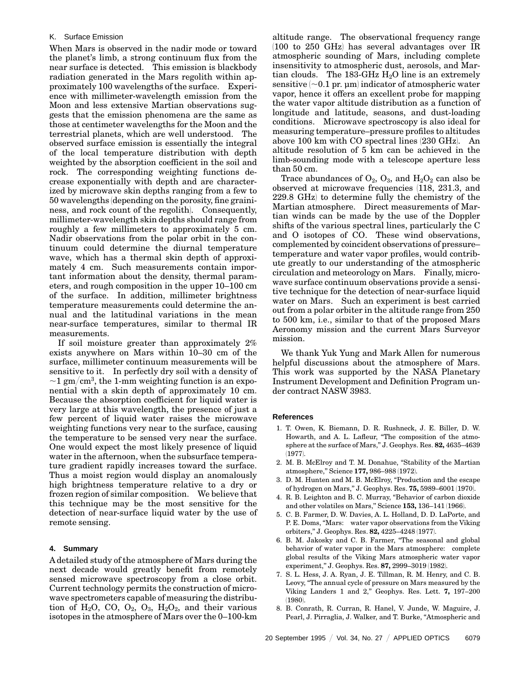# K. Surface Emission

When Mars is observed in the nadir mode or toward the planet's limb, a strong continuum flux from the near surface is detected. This emission is blackbody radiation generated in the Mars regolith within approximately 100 wavelengths of the surface. Experience with millimeter-wavelength emission from the Moon and less extensive Martian observations suggests that the emission phenomena are the same as those at centimeter wavelengths for the Moon and the terrestrial planets, which are well understood. The observed surface emission is essentially the integral of the local temperature distribution with depth weighted by the absorption coefficient in the soil and rock. The corresponding weighting functions decrease exponentially with depth and are characterized by microwave skin depths ranging from a few to 50 wavelengths (depending on the porosity, fine graininess, and rock count of the regolith. Consequently, millimeter-wavelength skin depths should range from roughly a few millimeters to approximately 5 cm. Nadir observations from the polar orbit in the continuum could determine the diurnal temperature wave, which has a thermal skin depth of approximately 4 cm. Such measurements contain important information about the density, thermal parameters, and rough composition in the upper 10–100 cm of the surface. In addition, millimeter brightness temperature measurements could determine the annual and the latitudinal variations in the mean near-surface temperatures, similar to thermal IR measurements.

If soil moisture greater than approximately 2% exists anywhere on Mars within 10–30 cm of the surface, millimeter continuum measurements will be sensitive to it. In perfectly dry soil with a density of  $\sim$ 1 gm/cm<sup>3</sup>, the 1-mm weighting function is an exponential with a skin depth of approximately 10 cm. Because the absorption coefficient for liquid water is very large at this wavelength, the presence of just a few percent of liquid water raises the microwave weighting functions very near to the surface, causing the temperature to be sensed very near the surface. One would expect the most likely presence of liquid water in the afternoon, when the subsurface temperature gradient rapidly increases toward the surface. Thus a moist region would display an anomalously high brightness temperature relative to a dry or frozen region of similar composition. We believe that this technique may be the most sensitive for the detection of near-surface liquid water by the use of remote sensing.

#### **4. Summary**

A detailed study of the atmosphere of Mars during the next decade would greatly benefit from remotely sensed microwave spectroscopy from a close orbit. Current technology permits the construction of microwave spectrometers capable of measuring the distribution of  $H_2O$ , CO,  $O_2$ ,  $O_3$ ,  $H_2O_2$ , and their various isotopes in the atmosphere of Mars over the 0–100-km altitude range. The observational frequency range  $(100 \text{ to } 250 \text{ GHz})$  has several advantages over IR atmospheric sounding of Mars, including complete insensitivity to atmospheric dust, aerosols, and Martian clouds. The 183-GHz  $H<sub>2</sub>O$  line is an extremely sensitive  $\sim 0.1$  pr. µm indicator of atmospheric water vapor, hence it offers an excellent probe for mapping the water vapor altitude distribution as a function of longitude and latitude, seasons, and dust-loading conditions. Microwave spectroscopy is also ideal for measuring temperature–pressure profiles to altitudes above  $100 \text{ km with CO spectral lines}$  (230 GHz). An altitude resolution of 5 km can be achieved in the limb-sounding mode with a telescope aperture less than 50 cm.

Trace abundances of  $O_2$ ,  $O_3$ , and  $H_2O_2$  can also be observed at microwave frequencies (118, 231.3, and  $229.8$  GHz) to determine fully the chemistry of the Martian atmosphere. Direct measurements of Martian winds can be made by the use of the Doppler shifts of the various spectral lines, particularly the C and O isotopes of CO. These wind observations, complemented by coincident observations of pressure– temperature and water vapor profiles, would contribute greatly to our understanding of the atmospheric circulation and meteorology on Mars. Finally, microwave surface continuum observations provide a sensitive technique for the detection of near-surface liquid water on Mars. Such an experiment is best carried out from a polar orbiter in the altitude range from 250 to 500 km, i.e., similar to that of the proposed Mars Aeronomy mission and the current Mars Surveyor mission.

We thank Yuk Yung and Mark Allen for numerous helpful discussions about the atmosphere of Mars. This work was supported by the NASA Planetary Instrument Development and Definition Program under contract NASW 3983.

#### **References**

- 1. T. Owen, K. Biemann, D. R. Rushneck, J. E. Biller, D. W. Howarth, and A. L. Lafleur, "The composition of the atmosphere at the surface of Mars,'' J. Geophys. Res. **82,** 4635–4639  $(1977)$ .
- 2. M. B. McElroy and T. M. Donahue, ''Stability of the Martian atmosphere," Science 177, 986-988 (1972).
- 3. D. M. Hunten and M. B. McElroy, "Production and the escape of hydrogen on Mars," J. Geophys. Res. **75,** 5989–6001 (1970).
- 4. R. B. Leighton and B. C. Murray, ''Behavior of carbon dioxide and other volatiles on Mars," Science 153, 136-141 (1966).
- 5. C. B. Farmer, D. W. Davies, A. L. Holland, D. D. LaPorte, and P. E. Doms, "Mars: water vapor observations from the Viking orbiters," J. Geophys. Res. 82, 4225-4248 (1977).
- 6. B. M. Jakosky and C. B. Farmer, ''The seasonal and global behavior of water vapor in the Mars atmosphere: complete global results of the Viking Mars atmospheric water vapor experiment," J. Geophys. Res. 87, 2999-3019 (1982).
- 7. S. L. Hess, J. A. Ryan, J. E. Tillman, R. M. Henry, and C. B. Leovy, ''The annual cycle of pressure on Mars measured by the Viking Landers 1 and 2,'' Geophys. Res. Lett. **7,** 197–200  $(1980)$
- 8. B. Conrath, R. Curran, R. Hanel, V. Junde, W. Maguire, J. Pearl, J. Pirraglia, J. Walker, and T. Burke, "Atmospheric and